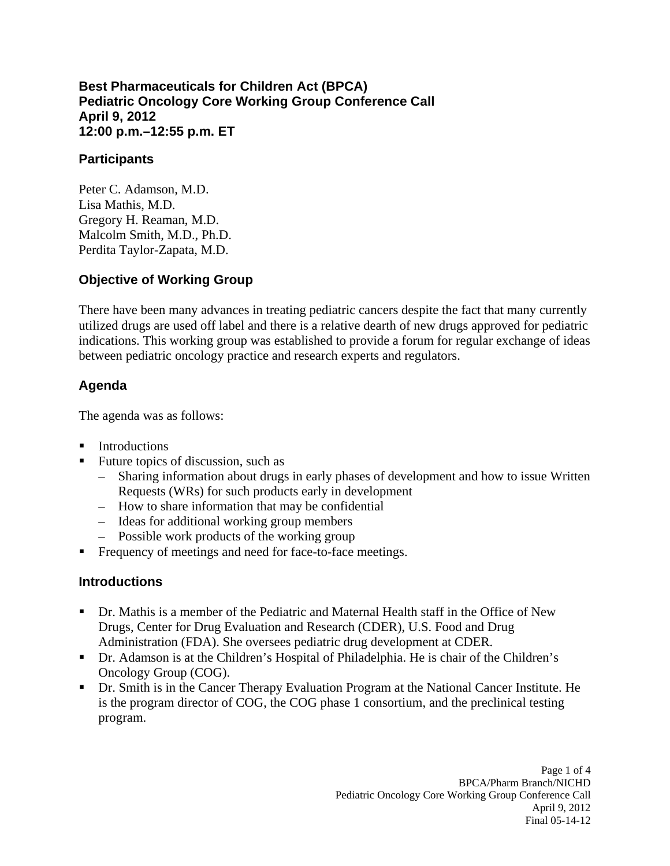#### **Best Pharmaceuticals for Children Act (BPCA) Pediatric Oncology Core Working Group Conference Call April 9, 2012 12:00 p.m.–12:55 p.m. ET**

#### **Participants**

Peter C. Adamson, M.D. Lisa Mathis, M.D. Gregory H. Reaman, M.D. Malcolm Smith, M.D., Ph.D. Perdita Taylor-Zapata, M.D.

### **Objective of Working Group**

There have been many advances in treating pediatric cancers despite the fact that many currently utilized drugs are used off label and there is a relative dearth of new drugs approved for pediatric indications. This working group was established to provide a forum for regular exchange of ideas between pediatric oncology practice and research experts and regulators.

### **Agenda**

The agenda was as follows:

- **Introductions**
- Future topics of discussion, such as
	- Sharing information about drugs in early phases of development and how to issue Written Requests (WRs) for such products early in development
	- – How to share information that may be confidential
	- – Ideas for additional working group members
	- – Possible work products of the working group
- Frequency of meetings and need for face-to-face meetings.

#### **Introductions**

- Dr. Mathis is a member of the Pediatric and Maternal Health staff in the Office of New Drugs, Center for Drug Evaluation and Research (CDER), U.S. Food and Drug Administration (FDA). She oversees pediatric drug development at CDER.
- Dr. Adamson is at the Children's Hospital of Philadelphia. He is chair of the Children's Oncology Group (COG).
- Dr. Smith is in the Cancer Therapy Evaluation Program at the National Cancer Institute. He is the program director of COG, the COG phase 1 consortium, and the preclinical testing program.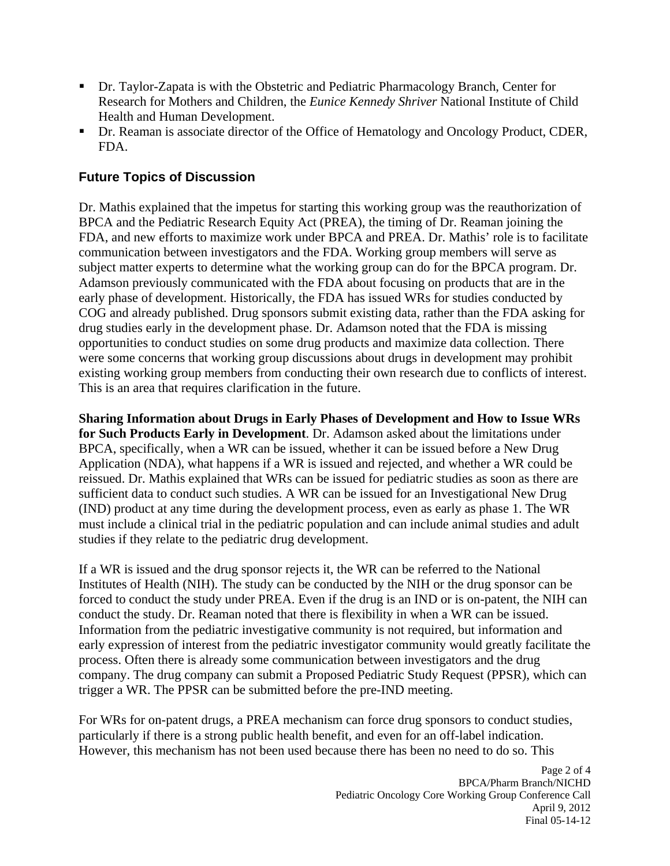- Dr. Taylor-Zapata is with the Obstetric and Pediatric Pharmacology Branch, Center for Research for Mothers and Children, the *Eunice Kennedy Shriver* National Institute of Child Health and Human Development.
- Dr. Reaman is associate director of the Office of Hematology and Oncology Product, CDER, FDA.

## **Future Topics of Discussion**

Dr. Mathis explained that the impetus for starting this working group was the reauthorization of BPCA and the Pediatric Research Equity Act (PREA), the timing of Dr. Reaman joining the FDA, and new efforts to maximize work under BPCA and PREA. Dr. Mathis' role is to facilitate communication between investigators and the FDA. Working group members will serve as subject matter experts to determine what the working group can do for the BPCA program. Dr. Adamson previously communicated with the FDA about focusing on products that are in the early phase of development. Historically, the FDA has issued WRs for studies conducted by COG and already published. Drug sponsors submit existing data, rather than the FDA asking for drug studies early in the development phase. Dr. Adamson noted that the FDA is missing opportunities to conduct studies on some drug products and maximize data collection. There were some concerns that working group discussions about drugs in development may prohibit existing working group members from conducting their own research due to conflicts of interest. This is an area that requires clarification in the future.

**Sharing Information about Drugs in Early Phases of Development and How to Issue WRs for Such Products Early in Development**. Dr. Adamson asked about the limitations under BPCA, specifically, when a WR can be issued, whether it can be issued before a New Drug Application (NDA), what happens if a WR is issued and rejected, and whether a WR could be reissued. Dr. Mathis explained that WRs can be issued for pediatric studies as soon as there are sufficient data to conduct such studies. A WR can be issued for an Investigational New Drug (IND) product at any time during the development process, even as early as phase 1. The WR must include a clinical trial in the pediatric population and can include animal studies and adult studies if they relate to the pediatric drug development.

If a WR is issued and the drug sponsor rejects it, the WR can be referred to the National Institutes of Health (NIH). The study can be conducted by the NIH or the drug sponsor can be forced to conduct the study under PREA. Even if the drug is an IND or is on-patent, the NIH can conduct the study. Dr. Reaman noted that there is flexibility in when a WR can be issued. Information from the pediatric investigative community is not required, but information and early expression of interest from the pediatric investigator community would greatly facilitate the process. Often there is already some communication between investigators and the drug company. The drug company can submit a Proposed Pediatric Study Request (PPSR), which can trigger a WR. The PPSR can be submitted before the pre-IND meeting.

For WRs for on-patent drugs, a PREA mechanism can force drug sponsors to conduct studies, particularly if there is a strong public health benefit, and even for an off-label indication. However, this mechanism has not been used because there has been no need to do so. This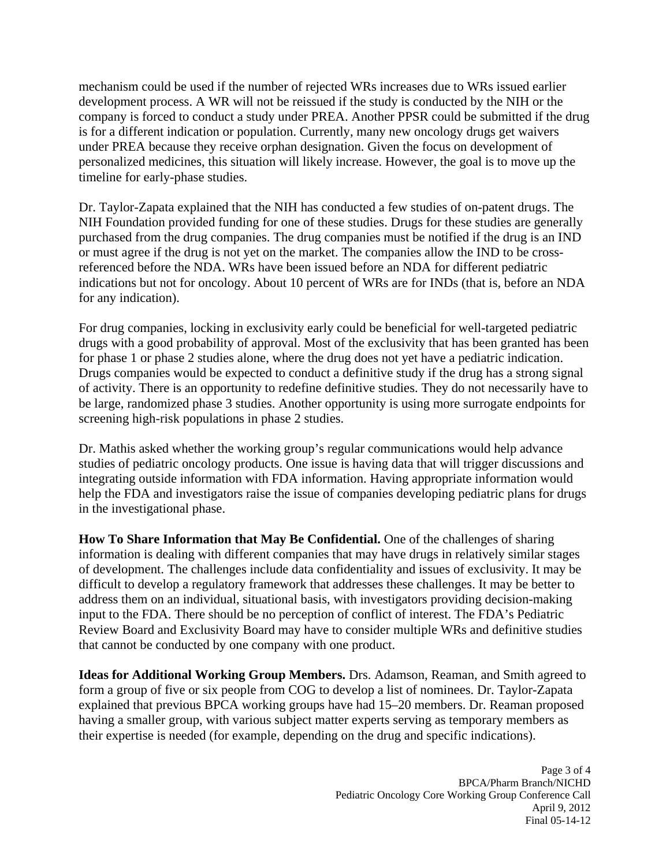mechanism could be used if the number of rejected WRs increases due to WRs issued earlier development process. A WR will not be reissued if the study is conducted by the NIH or the company is forced to conduct a study under PREA. Another PPSR could be submitted if the drug is for a different indication or population. Currently, many new oncology drugs get waivers under PREA because they receive orphan designation. Given the focus on development of personalized medicines, this situation will likely increase. However, the goal is to move up the timeline for early-phase studies.

Dr. Taylor-Zapata explained that the NIH has conducted a few studies of on-patent drugs. The NIH Foundation provided funding for one of these studies. Drugs for these studies are generally purchased from the drug companies. The drug companies must be notified if the drug is an IND or must agree if the drug is not yet on the market. The companies allow the IND to be crossreferenced before the NDA. WRs have been issued before an NDA for different pediatric indications but not for oncology. About 10 percent of WRs are for INDs (that is, before an NDA for any indication).

For drug companies, locking in exclusivity early could be beneficial for well-targeted pediatric drugs with a good probability of approval. Most of the exclusivity that has been granted has been for phase 1 or phase 2 studies alone, where the drug does not yet have a pediatric indication. Drugs companies would be expected to conduct a definitive study if the drug has a strong signal of activity. There is an opportunity to redefine definitive studies. They do not necessarily have to be large, randomized phase 3 studies. Another opportunity is using more surrogate endpoints for screening high-risk populations in phase 2 studies.

Dr. Mathis asked whether the working group's regular communications would help advance studies of pediatric oncology products. One issue is having data that will trigger discussions and integrating outside information with FDA information. Having appropriate information would help the FDA and investigators raise the issue of companies developing pediatric plans for drugs in the investigational phase.

**How To Share Information that May Be Confidential.** One of the challenges of sharing information is dealing with different companies that may have drugs in relatively similar stages of development. The challenges include data confidentiality and issues of exclusivity. It may be difficult to develop a regulatory framework that addresses these challenges. It may be better to address them on an individual, situational basis, with investigators providing decision-making input to the FDA. There should be no perception of conflict of interest. The FDA's Pediatric Review Board and Exclusivity Board may have to consider multiple WRs and definitive studies that cannot be conducted by one company with one product.

**Ideas for Additional Working Group Members.** Drs. Adamson, Reaman, and Smith agreed to form a group of five or six people from COG to develop a list of nominees. Dr. Taylor-Zapata explained that previous BPCA working groups have had 15–20 members. Dr. Reaman proposed having a smaller group, with various subject matter experts serving as temporary members as their expertise is needed (for example, depending on the drug and specific indications).